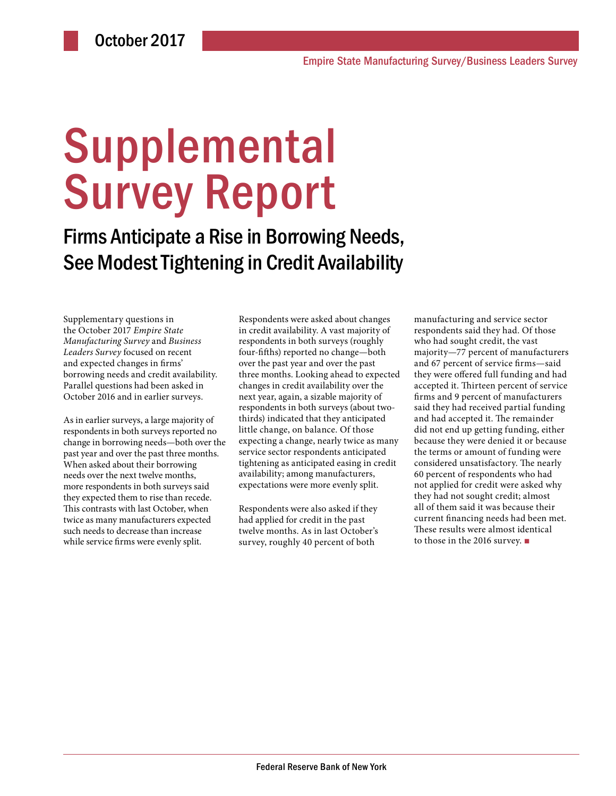# **Supplemental** Survey Report

Firms Anticipate a Rise in Borrowing Needs, See Modest Tightening in Credit Availability

Supplementary questions in the October 2017 *Empire State Manufacturing Survey* and *Business Leaders Survey* focused on recent and expected changes in firms' borrowing needs and credit availability. Parallel questions had been asked in October 2016 and in earlier surveys.

As in earlier surveys, a large majority of respondents in both surveys reported no change in borrowing needs—both over the past year and over the past three months. When asked about their borrowing needs over the next twelve months, more respondents in both surveys said they expected them to rise than recede. This contrasts with last October, when twice as many manufacturers expected such needs to decrease than increase while service firms were evenly split.

Respondents were asked about changes in credit availability. A vast majority of respondents in both surveys (roughly four-fifths) reported no change—both over the past year and over the past three months. Looking ahead to expected changes in credit availability over the next year, again, a sizable majority of respondents in both surveys (about twothirds) indicated that they anticipated little change, on balance. Of those expecting a change, nearly twice as many service sector respondents anticipated tightening as anticipated easing in credit availability; among manufacturers, expectations were more evenly split.

Respondents were also asked if they had applied for credit in the past twelve months. As in last October's survey, roughly 40 percent of both

manufacturing and service sector respondents said they had. Of those who had sought credit, the vast majority—77 percent of manufacturers and 67 percent of service firms—said they were offered full funding and had accepted it. Thirteen percent of service firms and 9 percent of manufacturers said they had received partial funding and had accepted it. The remainder did not end up getting funding, either because they were denied it or because the terms or amount of funding were considered unsatisfactory. The nearly 60 percent of respondents who had not applied for credit were asked why they had not sought credit; almost all of them said it was because their current financing needs had been met. These results were almost identical to those in the 2016 survey. ■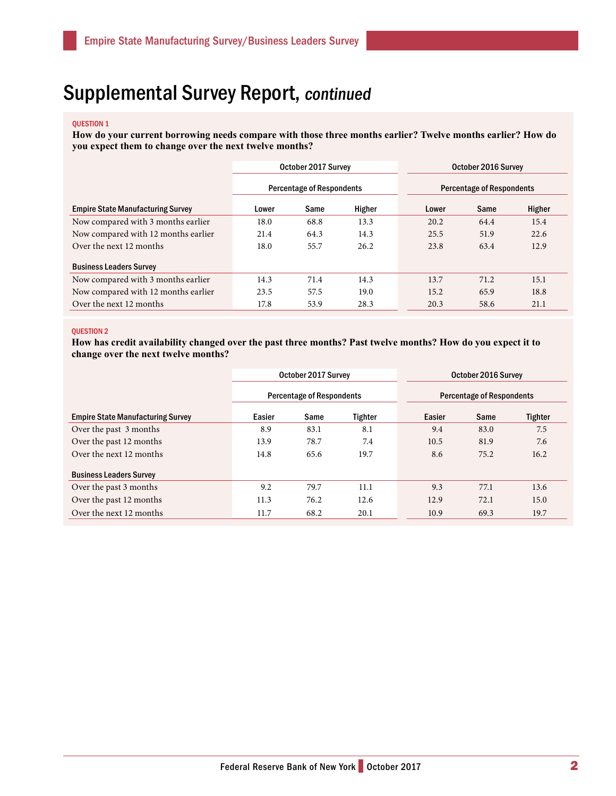### Supplemental Survey Report, continued

#### QUESTION 1

**How do your current borrowing needs compare with those three months earlier? Twelve months earlier? How do you expect them to change over the next twelve months?** 

|                                          | October 2017 Survey              |      |        | October 2016 Survey              |      |        |  |
|------------------------------------------|----------------------------------|------|--------|----------------------------------|------|--------|--|
|                                          | <b>Percentage of Respondents</b> |      |        | <b>Percentage of Respondents</b> |      |        |  |
| <b>Empire State Manufacturing Survey</b> | Lower                            | Same | Higher | Lower                            | Same | Higher |  |
| Now compared with 3 months earlier       | 18.0                             | 68.8 | 13.3   | 20.2                             | 64.4 | 15.4   |  |
| Now compared with 12 months earlier      | 21.4                             | 64.3 | 14.3   | 25.5                             | 51.9 | 22.6   |  |
| Over the next 12 months                  | 18.0                             | 55.7 | 26.2   | 23.8                             | 63.4 | 12.9   |  |
| <b>Business Leaders Survey</b>           |                                  |      |        |                                  |      |        |  |
| Now compared with 3 months earlier       | 14.3                             | 71.4 | 14.3   | 13.7                             | 71.2 | 15.1   |  |
| Now compared with 12 months earlier      | 23.5                             | 57.5 | 19.0   | 15.2                             | 65.9 | 18.8   |  |
| Over the next 12 months                  | 17.8                             | 53.9 | 28.3   | 20.3                             | 58.6 | 21.1   |  |

#### QUESTION 2

**How has credit availability changed over the past three months? Past twelve months? How do you expect it to change over the next twelve months?** 

|                                          | October 2017 Survey              |      |         | October 2016 Survey              |      |                |  |
|------------------------------------------|----------------------------------|------|---------|----------------------------------|------|----------------|--|
|                                          | <b>Percentage of Respondents</b> |      |         | <b>Percentage of Respondents</b> |      |                |  |
| <b>Empire State Manufacturing Survey</b> | Easier                           | Same | Tighter | Easier                           | Same | <b>Tighter</b> |  |
| Over the past 3 months                   | 8.9                              | 83.1 | 8.1     | 9.4                              | 83.0 | 7.5            |  |
| Over the past 12 months                  | 13.9                             | 78.7 | 7.4     | 10.5                             | 81.9 | 7.6            |  |
| Over the next 12 months                  | 14.8                             | 65.6 | 19.7    | 8.6                              | 75.2 | 16.2           |  |
| <b>Business Leaders Survey</b>           |                                  |      |         |                                  |      |                |  |
| Over the past 3 months                   | 9.2                              | 79.7 | 11.1    | 9.3                              | 77.1 | 13.6           |  |
| Over the past 12 months                  | 11.3                             | 76.2 | 12.6    | 12.9                             | 72.1 | 15.0           |  |
| Over the next 12 months                  | 11.7                             | 68.2 | 20.1    | 10.9                             | 69.3 | 19.7           |  |